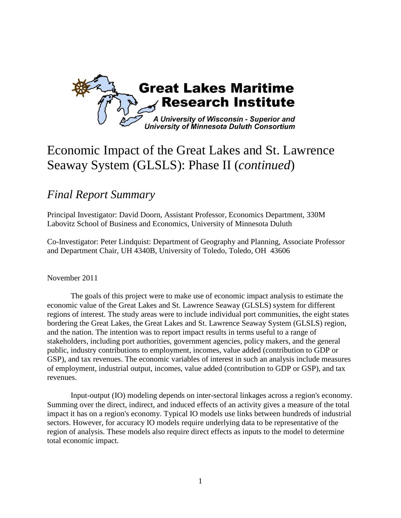

# Economic Impact of the Great Lakes and St. Lawrence Seaway System (GLSLS): Phase II (*continued*)

# *Final Report Summary*

Principal Investigator: David Doorn, Assistant Professor, Economics Department, 330M Labovitz School of Business and Economics, University of Minnesota Duluth

Co-Investigator: Peter Lindquist: Department of Geography and Planning, Associate Professor and Department Chair, UH 4340B, University of Toledo, Toledo, OH 43606

November 2011

The goals of this project were to make use of economic impact analysis to estimate the economic value of the Great Lakes and St. Lawrence Seaway (GLSLS) system for different regions of interest. The study areas were to include individual port communities, the eight states bordering the Great Lakes, the Great Lakes and St. Lawrence Seaway System (GLSLS) region, and the nation. The intention was to report impact results in terms useful to a range of stakeholders, including port authorities, government agencies, policy makers, and the general public, industry contributions to employment, incomes, value added (contribution to GDP or GSP), and tax revenues. The economic variables of interest in such an analysis include measures of employment, industrial output, incomes, value added (contribution to GDP or GSP), and tax revenues.

Input-output (IO) modeling depends on inter-sectoral linkages across a region's economy. Summing over the direct, indirect, and induced effects of an activity gives a measure of the total impact it has on a region's economy. Typical IO models use links between hundreds of industrial sectors. However, for accuracy IO models require underlying data to be representative of the region of analysis. These models also require direct effects as inputs to the model to determine total economic impact.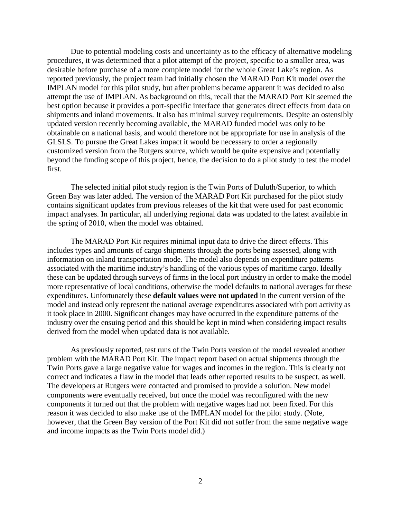Due to potential modeling costs and uncertainty as to the efficacy of alternative modeling procedures, it was determined that a pilot attempt of the project, specific to a smaller area, was desirable before purchase of a more complete model for the whole Great Lake's region. As reported previously, the project team had initially chosen the MARAD Port Kit model over the IMPLAN model for this pilot study, but after problems became apparent it was decided to also attempt the use of IMPLAN. As background on this, recall that the MARAD Port Kit seemed the best option because it provides a port-specific interface that generates direct effects from data on shipments and inland movements. It also has minimal survey requirements. Despite an ostensibly updated version recently becoming available, the MARAD funded model was only to be obtainable on a national basis, and would therefore not be appropriate for use in analysis of the GLSLS. To pursue the Great Lakes impact it would be necessary to order a regionally customized version from the Rutgers source, which would be quite expensive and potentially beyond the funding scope of this project, hence, the decision to do a pilot study to test the model first.

The selected initial pilot study region is the Twin Ports of Duluth/Superior, to which Green Bay was later added. The version of the MARAD Port Kit purchased for the pilot study contains significant updates from previous releases of the kit that were used for past economic impact analyses. In particular, all underlying regional data was updated to the latest available in the spring of 2010, when the model was obtained.

The MARAD Port Kit requires minimal input data to drive the direct effects. This includes types and amounts of cargo shipments through the ports being assessed, along with information on inland transportation mode. The model also depends on expenditure patterns associated with the maritime industry's handling of the various types of maritime cargo. Ideally these can be updated through surveys of firms in the local port industry in order to make the model more representative of local conditions, otherwise the model defaults to national averages for these expenditures. Unfortunately these **default values were not updated** in the current version of the model and instead only represent the national average expenditures associated with port activity as it took place in 2000. Significant changes may have occurred in the expenditure patterns of the industry over the ensuing period and this should be kept in mind when considering impact results derived from the model when updated data is not available.

As previously reported, test runs of the Twin Ports version of the model revealed another problem with the MARAD Port Kit. The impact report based on actual shipments through the Twin Ports gave a large negative value for wages and incomes in the region. This is clearly not correct and indicates a flaw in the model that leads other reported results to be suspect, as well. The developers at Rutgers were contacted and promised to provide a solution. New model components were eventually received, but once the model was reconfigured with the new components it turned out that the problem with negative wages had not been fixed. For this reason it was decided to also make use of the IMPLAN model for the pilot study. (Note, however, that the Green Bay version of the Port Kit did not suffer from the same negative wage and income impacts as the Twin Ports model did.)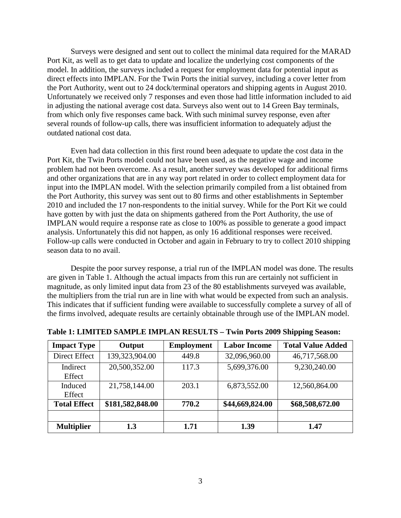Surveys were designed and sent out to collect the minimal data required for the MARAD Port Kit, as well as to get data to update and localize the underlying cost components of the model. In addition, the surveys included a request for employment data for potential input as direct effects into IMPLAN. For the Twin Ports the initial survey, including a cover letter from the Port Authority, went out to 24 dock/terminal operators and shipping agents in August 2010. Unfortunately we received only 7 responses and even those had little information included to aid in adjusting the national average cost data. Surveys also went out to 14 Green Bay terminals, from which only five responses came back. With such minimal survey response, even after several rounds of follow-up calls, there was insufficient information to adequately adjust the outdated national cost data.

Even had data collection in this first round been adequate to update the cost data in the Port Kit, the Twin Ports model could not have been used, as the negative wage and income problem had not been overcome. As a result, another survey was developed for additional firms and other organizations that are in any way port related in order to collect employment data for input into the IMPLAN model. With the selection primarily compiled from a list obtained from the Port Authority, this survey was sent out to 80 firms and other establishments in September 2010 and included the 17 non-respondents to the initial survey. While for the Port Kit we could have gotten by with just the data on shipments gathered from the Port Authority, the use of IMPLAN would require a response rate as close to 100% as possible to generate a good impact analysis. Unfortunately this did not happen, as only 16 additional responses were received. Follow-up calls were conducted in October and again in February to try to collect 2010 shipping season data to no avail.

Despite the poor survey response, a trial run of the IMPLAN model was done. The results are given in Table 1. Although the actual impacts from this run are certainly not sufficient in magnitude, as only limited input data from 23 of the 80 establishments surveyed was available, the multipliers from the trial run are in line with what would be expected from such an analysis. This indicates that if sufficient funding were available to successfully complete a survey of all of the firms involved, adequate results are certainly obtainable through use of the IMPLAN model.

| <b>Impact Type</b>  | Output           | <b>Employment</b> | <b>Labor Income</b> | <b>Total Value Added</b> |
|---------------------|------------------|-------------------|---------------------|--------------------------|
| Direct Effect       | 139,323,904.00   | 449.8             | 32,096,960.00       | 46,717,568.00            |
| Indirect<br>Effect  | 20,500,352.00    | 117.3             | 5,699,376.00        | 9,230,240.00             |
| Induced<br>Effect   | 21,758,144.00    | 203.1             | 6,873,552.00        | 12,560,864.00            |
| <b>Total Effect</b> | \$181,582,848.00 | 770.2             | \$44,669,824.00     | \$68,508,672.00          |
|                     |                  |                   |                     |                          |
| <b>Multiplier</b>   | 1.3              | 1.71              | 1.39                | 1.47                     |

### **Table 1: LIMITED SAMPLE IMPLAN RESULTS – Twin Ports 2009 Shipping Season:**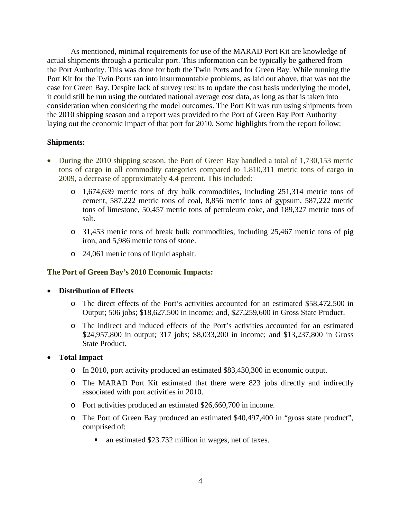As mentioned, minimal requirements for use of the MARAD Port Kit are knowledge of actual shipments through a particular port. This information can be typically be gathered from the Port Authority. This was done for both the Twin Ports and for Green Bay. While running the Port Kit for the Twin Ports ran into insurmountable problems, as laid out above, that was not the case for Green Bay. Despite lack of survey results to update the cost basis underlying the model, it could still be run using the outdated national average cost data, as long as that is taken into consideration when considering the model outcomes. The Port Kit was run using shipments from the 2010 shipping season and a report was provided to the Port of Green Bay Port Authority laying out the economic impact of that port for 2010. Some highlights from the report follow:

# **Shipments:**

- During the 2010 shipping season, the Port of Green Bay handled a total of 1,730,153 metric tons of cargo in all commodity categories compared to 1,810,311 metric tons of cargo in 2009, a decrease of approximately 4.4 percent. This included:
	- o 1,674,639 metric tons of dry bulk commodities, including 251,314 metric tons of cement, 587,222 metric tons of coal, 8,856 metric tons of gypsum, 587,222 metric tons of limestone, 50,457 metric tons of petroleum coke, and 189,327 metric tons of salt.
	- o 31,453 metric tons of break bulk commodities, including 25,467 metric tons of pig iron, and 5,986 metric tons of stone.
	- o 24,061 metric tons of liquid asphalt.

# **The Port of Green Bay's 2010 Economic Impacts:**

# • **Distribution of Effects**

- o The direct effects of the Port's activities accounted for an estimated \$58,472,500 in Output; 506 jobs; \$18,627,500 in income; and, \$27,259,600 in Gross State Product.
- o The indirect and induced effects of the Port's activities accounted for an estimated \$24,957,800 in output; 317 jobs; \$8,033,200 in income; and \$13,237,800 in Gross State Product.

# • **Total Impact**

- o In 2010, port activity produced an estimated \$83,430,300 in economic output.
- o The MARAD Port Kit estimated that there were 823 jobs directly and indirectly associated with port activities in 2010.
- o Port activities produced an estimated \$26,660,700 in income.
- o The Port of Green Bay produced an estimated \$40,497,400 in "gross state product", comprised of:
	- an estimated \$23.732 million in wages, net of taxes.